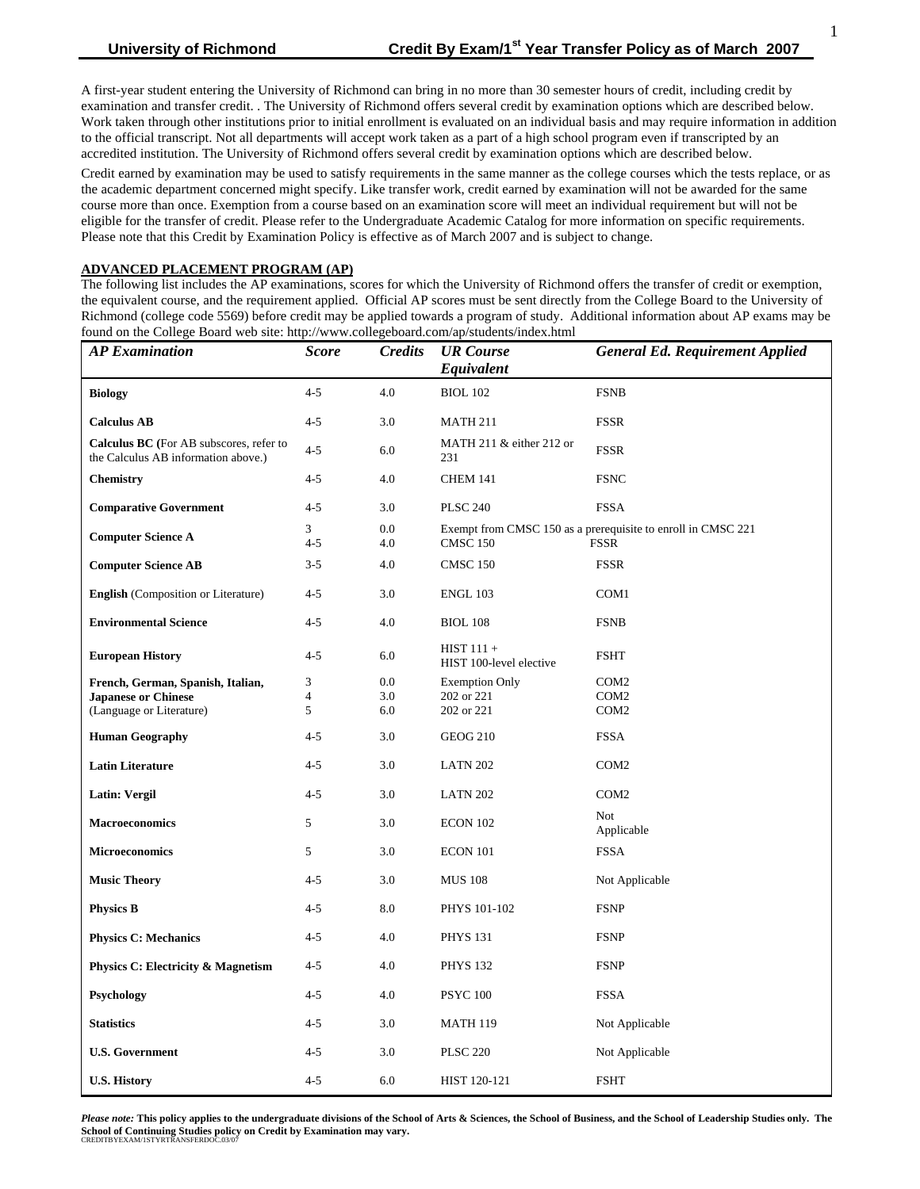A first-year student entering the University of Richmond can bring in no more than 30 semester hours of credit, including credit by examination and transfer credit. . The University of Richmond offers several credit by examination options which are described below. Work taken through other institutions prior to initial enrollment is evaluated on an individual basis and may require information in addition to the official transcript. Not all departments will accept work taken as a part of a high school program even if transcripted by an accredited institution. The University of Richmond offers several credit by examination options which are described below.

Credit earned by examination may be used to satisfy requirements in the same manner as the college courses which the tests replace, or as the academic department concerned might specify. Like transfer work, credit earned by examination will not be awarded for the same course more than once. Exemption from a course based on an examination score will meet an individual requirement but will not be eligible for the transfer of credit. Please refer to the Undergraduate Academic Catalog for more information on specific requirements. Please note that this Credit by Examination Policy is effective as of March 2007 and is subject to change.

#### **ADVANCED PLACEMENT PROGRAM (AP)**

The following list includes the AP examinations, scores for which the University of Richmond offers the transfer of credit or exemption, the equivalent course, and the requirement applied. Official AP scores must be sent directly from the College Board to the University of Richmond (college code 5569) before credit may be applied towards a program of study. Additional information about AP exams may be found on the College Board web site: http://www.collegeboard.com/ap/students/index.html

| <b>AP</b> Examination                                                          | <b>Score</b>   | <b>Credits</b> | <b>UR</b> Course<br><b>General Ed. Requirement Applied</b><br>Equivalent |                                                              |
|--------------------------------------------------------------------------------|----------------|----------------|--------------------------------------------------------------------------|--------------------------------------------------------------|
| <b>Biology</b>                                                                 | $4 - 5$        | 4.0            | <b>BIOL 102</b>                                                          | <b>FSNB</b>                                                  |
| <b>Calculus AB</b>                                                             | $4 - 5$        | 3.0            | <b>MATH 211</b>                                                          | <b>FSSR</b>                                                  |
| Calculus BC (For AB subscores, refer to<br>the Calculus AB information above.) | $4 - 5$        | 6.0            | MATH 211 & either 212 or<br>231                                          | <b>FSSR</b>                                                  |
| <b>Chemistry</b>                                                               | $4 - 5$        | 4.0            | <b>CHEM 141</b>                                                          | <b>FSNC</b>                                                  |
| <b>Comparative Government</b>                                                  | $4 - 5$        | 3.0            | <b>PLSC 240</b>                                                          | <b>FSSA</b>                                                  |
| <b>Computer Science A</b>                                                      | 3              | 0.0            |                                                                          | Exempt from CMSC 150 as a prerequisite to enroll in CMSC 221 |
|                                                                                | $4 - 5$        | 4.0            | <b>FSSR</b><br><b>CMSC 150</b>                                           |                                                              |
| <b>Computer Science AB</b>                                                     | $3 - 5$        | 4.0            | <b>CMSC 150</b>                                                          | <b>FSSR</b>                                                  |
| <b>English</b> (Composition or Literature)                                     | $4 - 5$        | 3.0            | <b>ENGL 103</b>                                                          | COM <sub>1</sub>                                             |
| <b>Environmental Science</b>                                                   | $4 - 5$        | 4.0            | <b>BIOL 108</b>                                                          | <b>FSNB</b>                                                  |
| <b>European History</b>                                                        | $4 - 5$        | 6.0            | $HIST 111 +$<br>HIST 100-level elective                                  | <b>FSHT</b>                                                  |
| French, German, Spanish, Italian,                                              | 3              | 0.0            | <b>Exemption Only</b>                                                    | COM <sub>2</sub>                                             |
| <b>Japanese or Chinese</b>                                                     | $\overline{4}$ | 3.0            | 202 or 221                                                               | COM <sub>2</sub>                                             |
| (Language or Literature)                                                       | 5              | 6.0            | 202 or 221                                                               | COM <sub>2</sub>                                             |
| <b>Human Geography</b>                                                         | $4 - 5$        | 3.0            | <b>GEOG 210</b>                                                          | <b>FSSA</b>                                                  |
| <b>Latin Literature</b>                                                        | $4 - 5$        | 3.0            | <b>LATN 202</b>                                                          | COM <sub>2</sub>                                             |
| Latin: Vergil                                                                  | $4 - 5$        | 3.0            | <b>LATN 202</b>                                                          | COM <sub>2</sub>                                             |
| <b>Macroeconomics</b>                                                          | 5              | 3.0            | <b>ECON 102</b>                                                          | <b>Not</b><br>Applicable                                     |
| <b>Microeconomics</b>                                                          | 5              | 3.0            | ECON 101                                                                 | <b>FSSA</b>                                                  |
| <b>Music Theory</b>                                                            | $4 - 5$        | 3.0            | <b>MUS 108</b>                                                           | Not Applicable                                               |
| <b>Physics B</b>                                                               | $4 - 5$        | 8.0            | PHYS 101-102                                                             | <b>FSNP</b>                                                  |
| <b>Physics C: Mechanics</b>                                                    | $4 - 5$        | 4.0            | <b>PHYS 131</b>                                                          | <b>FSNP</b>                                                  |
| <b>Physics C: Electricity &amp; Magnetism</b>                                  | $4 - 5$        | 4.0            | <b>PHYS 132</b>                                                          | <b>FSNP</b>                                                  |
| Psychology                                                                     | $4 - 5$        | 4.0            | <b>PSYC 100</b>                                                          | <b>FSSA</b>                                                  |
| <b>Statistics</b>                                                              | $4 - 5$        | 3.0            | <b>MATH 119</b>                                                          | Not Applicable                                               |
| <b>U.S. Government</b>                                                         | $4 - 5$        | 3.0            | <b>PLSC 220</b>                                                          | Not Applicable                                               |
| <b>U.S. History</b>                                                            | $4 - 5$        | 6.0            | HIST 120-121                                                             | <b>FSHT</b>                                                  |

*Please note:* **This policy applies to the undergraduate divisions of the School of Arts & Sciences, the School of Business, and the School of Leadership Studies only. The School of Continuing Studies policy on Credit by Examination may vary.** CREDITBYEXAM/1STYRTRANSFERDOC.03/07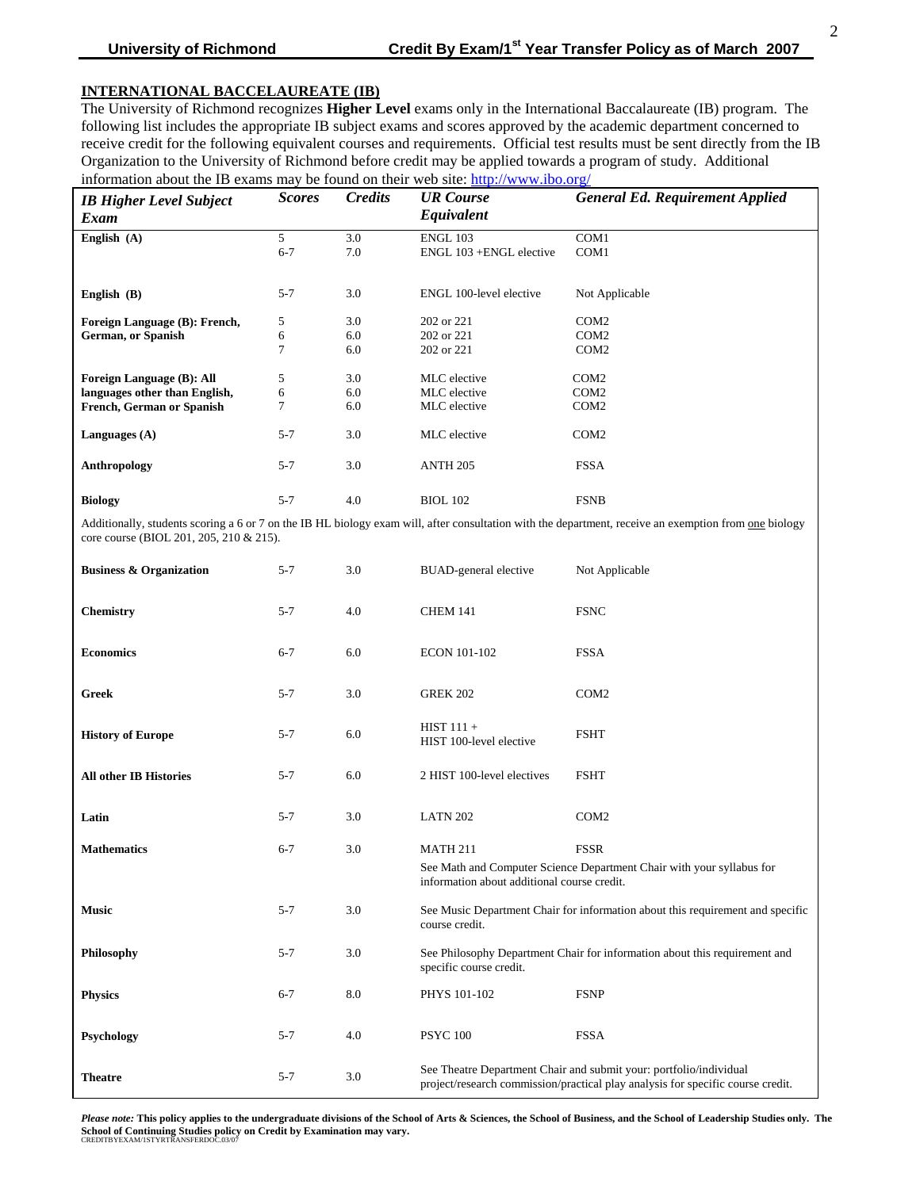# **INTERNATIONAL BACCELAUREATE (IB)**

The University of Richmond recognizes **Higher Level** exams only in the International Baccalaureate (IB) program. The following list includes the appropriate IB subject exams and scores approved by the academic department concerned to receive credit for the following equivalent courses and requirements. Official test results must be sent directly from the IB Organization to the University of Richmond before credit may be applied towards a program of study. Additional information about the IB exams may be found on their web site: <http://www.ibo.org/>

| <b>IB Higher Level Subject</b><br>Exam | <b>Scores</b> | <b>Credits</b> | <b>UR</b> Course<br>Equivalent | <b>General Ed. Requirement Applied</b> |
|----------------------------------------|---------------|----------------|--------------------------------|----------------------------------------|
| English $(A)$                          | 5             | 3.0            | <b>ENGL 103</b>                | COM1                                   |
|                                        | $6 - 7$       | 7.0            | ENGL 103 + ENGL elective       | COM <sub>1</sub>                       |
|                                        |               |                |                                |                                        |
| English $(B)$                          | $5 - 7$       | 3.0            | ENGL 100-level elective        | Not Applicable                         |
| Foreign Language (B): French,          | 5             | 3.0            | 202 or 221                     | COM <sub>2</sub>                       |
| German, or Spanish                     | 6             | 6.0            | 202 or 221                     | COM <sub>2</sub>                       |
|                                        | 7             | 6.0            | 202 or 221                     | COM <sub>2</sub>                       |
| <b>Foreign Language (B): All</b>       | 5             | 3.0            | MLC elective                   | COM <sub>2</sub>                       |
| languages other than English,          | 6             | 6.0            | MLC elective                   | COM <sub>2</sub>                       |
| <b>French, German or Spanish</b>       | 7             | 6.0            | MLC elective                   | COM <sub>2</sub>                       |
| Languages $(A)$                        | $5 - 7$       | 3.0            | MLC elective                   | COM <sub>2</sub>                       |
| <b>Anthropology</b>                    | $5 - 7$       | 3.0            | <b>ANTH 205</b>                | <b>FSSA</b>                            |
| <b>Biology</b>                         | $5 - 7$       | 4.0            | <b>BIOL 102</b>                | <b>FSNB</b>                            |

Additionally, students scoring a 6 or 7 on the IB HL biology exam will, after consultation with the department, receive an exemption from one biology core course (BIOL 201, 205, 210 & 215).

| <b>Business &amp; Organization</b> | $5 - 7$ | 3.0 | <b>BUAD-general elective</b><br>Not Applicable                                                                                                        |                  |  |
|------------------------------------|---------|-----|-------------------------------------------------------------------------------------------------------------------------------------------------------|------------------|--|
| <b>Chemistry</b>                   | $5 - 7$ | 4.0 | <b>FSNC</b><br><b>CHEM 141</b>                                                                                                                        |                  |  |
| <b>Economics</b>                   | $6 - 7$ | 6.0 | <b>ECON 101-102</b><br><b>FSSA</b>                                                                                                                    |                  |  |
| <b>Greek</b>                       | $5 - 7$ | 3.0 | <b>GREK 202</b><br>COM <sub>2</sub>                                                                                                                   |                  |  |
| <b>History of Europe</b>           | $5 - 7$ | 6.0 | $HIST 111 +$<br><b>FSHT</b><br>HIST 100-level elective                                                                                                |                  |  |
| <b>All other IB Histories</b>      | $5 - 7$ | 6.0 | 2 HIST 100-level electives<br><b>FSHT</b>                                                                                                             |                  |  |
| Latin                              | $5 - 7$ | 3.0 | <b>LATN 202</b>                                                                                                                                       | COM <sub>2</sub> |  |
| <b>Mathematics</b>                 | $6 - 7$ | 3.0 | <b>MATH 211</b><br><b>FSSR</b>                                                                                                                        |                  |  |
|                                    |         |     | See Math and Computer Science Department Chair with your syllabus for<br>information about additional course credit.                                  |                  |  |
| <b>Music</b>                       | $5 - 7$ | 3.0 | See Music Department Chair for information about this requirement and specific<br>course credit.                                                      |                  |  |
| Philosophy                         | $5 - 7$ | 3.0 | See Philosophy Department Chair for information about this requirement and<br>specific course credit.                                                 |                  |  |
| <b>Physics</b>                     | $6 - 7$ | 8.0 | <b>FSNP</b><br>PHYS 101-102                                                                                                                           |                  |  |
| Psychology                         | $5 - 7$ | 4.0 | <b>PSYC 100</b>                                                                                                                                       | <b>FSSA</b>      |  |
| <b>Theatre</b>                     | $5 - 7$ | 3.0 | See Theatre Department Chair and submit your: portfolio/individual<br>project/research commission/practical play analysis for specific course credit. |                  |  |

*Please note:* **This policy applies to the undergraduate divisions of the School of Arts & Sciences, the School of Business, and the School of Leadership Studies only. The**  School of Continuing Studies policy on Credit by Examination may vary.<br>CREDITBYEXAM/1STYRTRANSFERDOC.03/07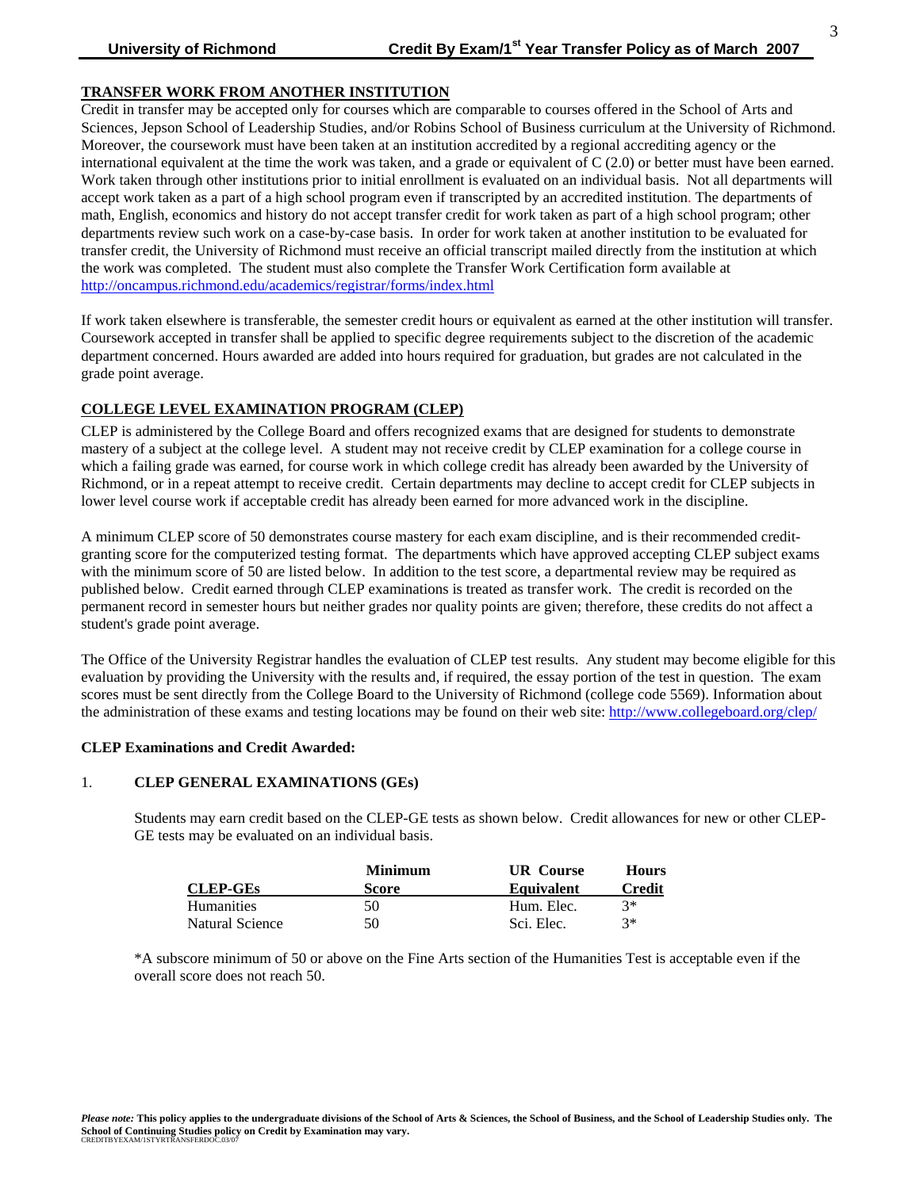## **TRANSFER WORK FROM ANOTHER INSTITUTION**

Credit in transfer may be accepted only for courses which are comparable to courses offered in the School of Arts and Sciences, Jepson School of Leadership Studies, and/or Robins School of Business curriculum at the University of Richmond. Moreover, the coursework must have been taken at an institution accredited by a regional accrediting agency or the international equivalent at the time the work was taken, and a grade or equivalent of  $C(2.0)$  or better must have been earned. Work taken through other institutions prior to initial enrollment is evaluated on an individual basis. Not all departments will accept work taken as a part of a high school program even if transcripted by an accredited institution. The departments of math, English, economics and history do not accept transfer credit for work taken as part of a high school program; other departments review such work on a case-by-case basis. In order for work taken at another institution to be evaluated for transfer credit, the University of Richmond must receive an official transcript mailed directly from the institution at which the work was completed. The student must also complete the Transfer Work Certification form available at <http://oncampus.richmond.edu/academics/registrar/forms/index.html>

If work taken elsewhere is transferable, the semester credit hours or equivalent as earned at the other institution will transfer. Coursework accepted in transfer shall be applied to specific degree requirements subject to the discretion of the academic department concerned. Hours awarded are added into hours required for graduation, but grades are not calculated in the grade point average.

### **COLLEGE LEVEL EXAMINATION PROGRAM (CLEP)**

CLEP is administered by the College Board and offers recognized exams that are designed for students to demonstrate mastery of a subject at the college level. A student may not receive credit by CLEP examination for a college course in which a failing grade was earned, for course work in which college credit has already been awarded by the University of Richmond, or in a repeat attempt to receive credit. Certain departments may decline to accept credit for CLEP subjects in lower level course work if acceptable credit has already been earned for more advanced work in the discipline.

A minimum CLEP score of 50 demonstrates course mastery for each exam discipline, and is their recommended creditgranting score for the computerized testing format. The departments which have approved accepting CLEP subject exams with the minimum score of 50 are listed below. In addition to the test score, a departmental review may be required as published below. Credit earned through CLEP examinations is treated as transfer work. The credit is recorded on the permanent record in semester hours but neither grades nor quality points are given; therefore, these credits do not affect a student's grade point average.

The Office of the University Registrar handles the evaluation of CLEP test results. Any student may become eligible for this evaluation by providing the University with the results and, if required, the essay portion of the test in question. The exam scores must be sent directly from the College Board to the University of Richmond (college code 5569). Information about the administration of these exams and testing locations may be found on their web site: <http://www.collegeboard.org/clep/>

#### **CLEP Examinations and Credit Awarded:**

## 1. **CLEP GENERAL EXAMINATIONS (GEs)**

Students may earn credit based on the CLEP-GE tests as shown below. Credit allowances for new or other CLEP-GE tests may be evaluated on an individual basis.

|                   | <b>Minimum</b> | . Course<br>UR    | <b>Hours</b>  |  |
|-------------------|----------------|-------------------|---------------|--|
| <b>CLEP-GEs</b>   | Score          | <b>Equivalent</b> | <b>Credit</b> |  |
| <b>Humanities</b> | 50             | Hum. Elec.        | $3*$          |  |
| Natural Science   | 50             | Sci. Elec.        | $3*$          |  |

\*A subscore minimum of 50 or above on the Fine Arts section of the Humanities Test is acceptable even if the overall score does not reach 50.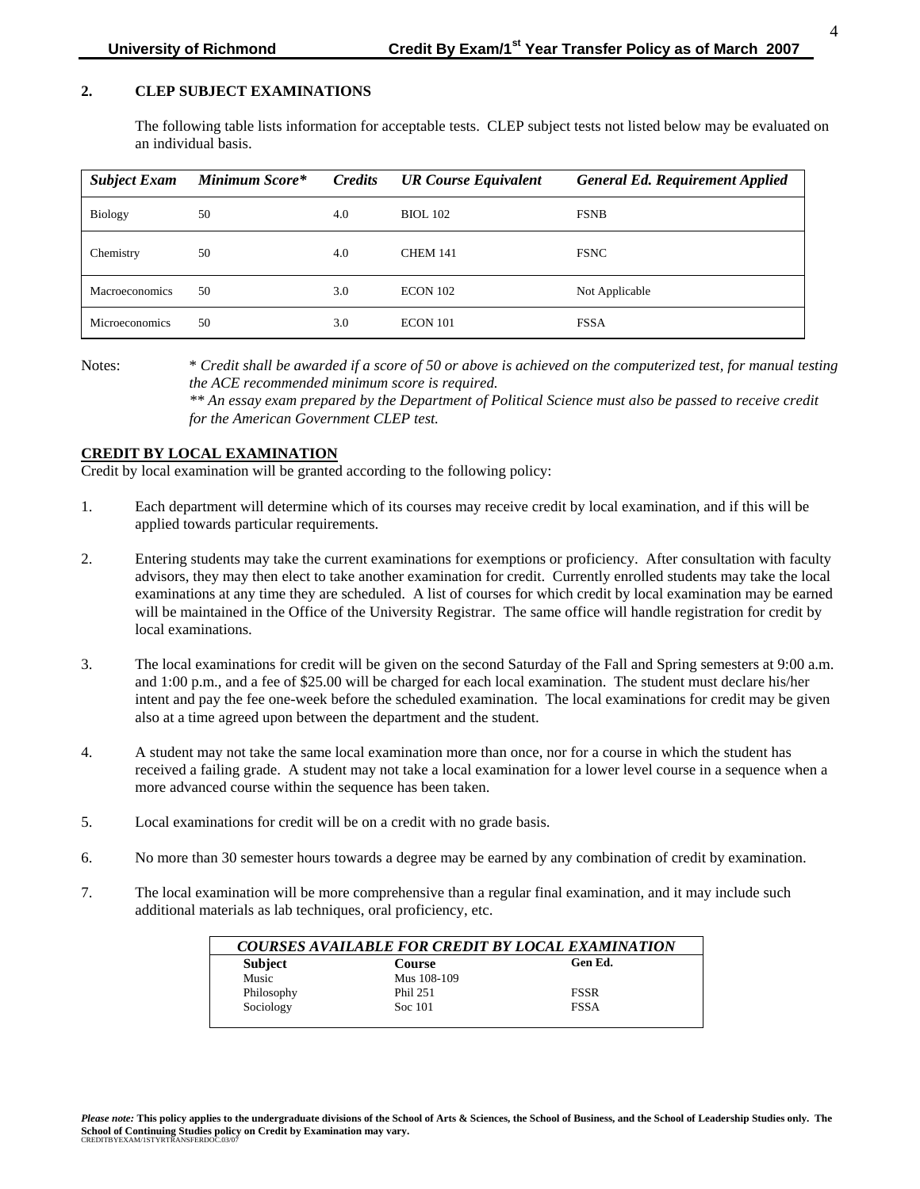# **2. CLEP SUBJECT EXAMINATIONS**

The following table lists information for acceptable tests. CLEP subject tests not listed below may be evaluated on an individual basis.

| <b>Subject Exam</b> | Minimum Score* | <b>Credits</b> | <b>UR Course Equivalent</b> | <b>General Ed. Requirement Applied</b> |
|---------------------|----------------|----------------|-----------------------------|----------------------------------------|
| <b>Biology</b>      | 50             | 4.0            | <b>BIOL</b> 102             | <b>FSNB</b>                            |
| Chemistry           | 50             | 4.0            | <b>CHEM 141</b>             | <b>FSNC</b>                            |
| Macroeconomics      | 50             | 3.0            | <b>ECON 102</b>             | Not Applicable                         |
| Microeconomics      | 50             | 3.0            | ECON 101                    | <b>FSSA</b>                            |

Notes: \* *Credit shall be awarded if a score of 50 or above is achieved on the computerized test, for manual testing the ACE recommended minimum score is required.*

*\*\* An essay exam prepared by the Department of Political Science must also be passed to receive credit for the American Government CLEP test.* 

# **CREDIT BY LOCAL EXAMINATION**

Credit by local examination will be granted according to the following policy:

- 1. Each department will determine which of its courses may receive credit by local examination, and if this will be applied towards particular requirements.
- 2. Entering students may take the current examinations for exemptions or proficiency. After consultation with faculty advisors, they may then elect to take another examination for credit. Currently enrolled students may take the local examinations at any time they are scheduled. A list of courses for which credit by local examination may be earned will be maintained in the Office of the University Registrar. The same office will handle registration for credit by local examinations.
- 3. The local examinations for credit will be given on the second Saturday of the Fall and Spring semesters at 9:00 a.m. and 1:00 p.m., and a fee of \$25.00 will be charged for each local examination. The student must declare his/her intent and pay the fee one-week before the scheduled examination. The local examinations for credit may be given also at a time agreed upon between the department and the student.
- 4. A student may not take the same local examination more than once, nor for a course in which the student has received a failing grade. A student may not take a local examination for a lower level course in a sequence when a more advanced course within the sequence has been taken.
- 5. Local examinations for credit will be on a credit with no grade basis.
- 6. No more than 30 semester hours towards a degree may be earned by any combination of credit by examination.
- 7. The local examination will be more comprehensive than a regular final examination, and it may include such additional materials as lab techniques, oral proficiency, etc.

| <b>Subject</b> | <b>Course</b> | Gen Ed.     |
|----------------|---------------|-------------|
| Music          | Mus 108-109   |             |
| Philosophy     | Phil 251      | <b>FSSR</b> |
| Sociology      | Soc 101       | <b>FSSA</b> |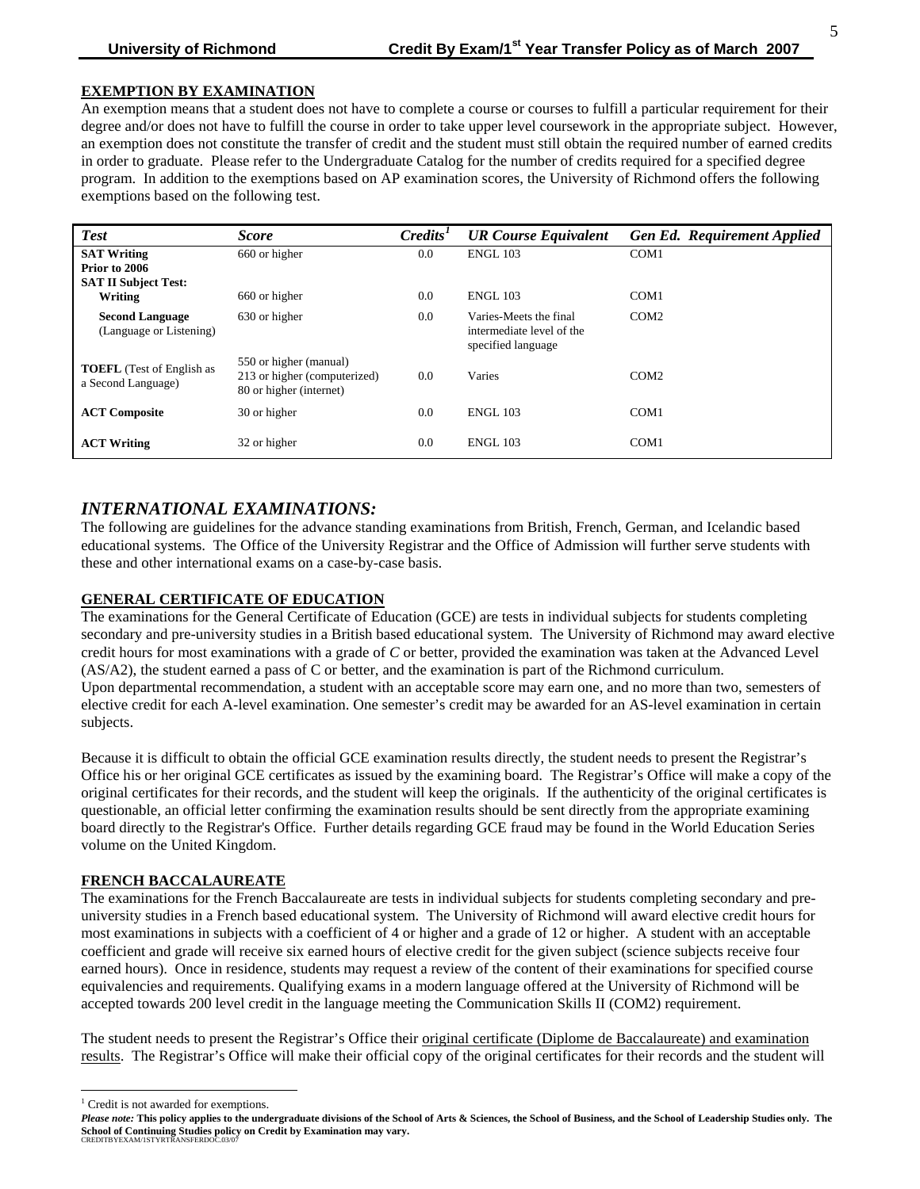## **EXEMPTION BY EXAMINATION**

An exemption means that a student does not have to complete a course or courses to fulfill a particular requirement for their degree and/or does not have to fulfill the course in order to take upper level coursework in the appropriate subject. However, an exemption does not constitute the transfer of credit and the student must still obtain the required number of earned credits in order to graduate. Please refer to the Undergraduate Catalog for the number of credits required for a specified degree program. In addition to the exemptions based on AP examination scores, the University of Richmond offers the following exemptions based on the following test.

| <b>Test</b>                                                        | <b>Score</b>                                                                      | $C$ redits <sup><math>I</math></sup> | <b>UR Course Equivalent</b>                                               | <b>Gen Ed. Requirement Applied</b> |
|--------------------------------------------------------------------|-----------------------------------------------------------------------------------|--------------------------------------|---------------------------------------------------------------------------|------------------------------------|
| <b>SAT Writing</b><br>Prior to 2006<br><b>SAT II Subject Test:</b> | 660 or higher                                                                     | 0.0                                  | <b>ENGL 103</b>                                                           | COM1                               |
| Writing                                                            | 660 or higher                                                                     | 0.0                                  | <b>ENGL 103</b>                                                           | COM <sub>1</sub>                   |
| <b>Second Language</b><br>(Language or Listening)                  | 630 or higher                                                                     | 0.0                                  | Varies-Meets the final<br>intermediate level of the<br>specified language | COM <sub>2</sub>                   |
| <b>TOEFL</b> (Test of English as<br>a Second Language)             | 550 or higher (manual)<br>213 or higher (computerized)<br>80 or higher (internet) | 0.0                                  | Varies                                                                    | COM2                               |
| <b>ACT Composite</b>                                               | 30 or higher                                                                      | 0.0                                  | <b>ENGL 103</b>                                                           | COM <sub>1</sub>                   |
| <b>ACT Writing</b>                                                 | 32 or higher                                                                      | 0.0                                  | <b>ENGL 103</b>                                                           | COM <sub>1</sub>                   |

# *INTERNATIONAL EXAMINATIONS:*

The following are guidelines for the advance standing examinations from British, French, German, and Icelandic based educational systems. The Office of the University Registrar and the Office of Admission will further serve students with these and other international exams on a case-by-case basis.

## **GENERAL CERTIFICATE OF EDUCATION**

The examinations for the General Certificate of Education (GCE) are tests in individual subjects for students completing secondary and pre-university studies in a British based educational system. The University of Richmond may award elective credit hours for most examinations with a grade of *C* or better, provided the examination was taken at the Advanced Level (AS/A2), the student earned a pass of C or better, and the examination is part of the Richmond curriculum. Upon departmental recommendation, a student with an acceptable score may earn one, and no more than two, semesters of elective credit for each A-level examination. One semester's credit may be awarded for an AS-level examination in certain subjects.

Because it is difficult to obtain the official GCE examination results directly, the student needs to present the Registrar's Office his or her original GCE certificates as issued by the examining board. The Registrar's Office will make a copy of the original certificates for their records, and the student will keep the originals. If the authenticity of the original certificates is questionable, an official letter confirming the examination results should be sent directly from the appropriate examining board directly to the Registrar's Office. Further details regarding GCE fraud may be found in the World Education Series volume on the United Kingdom.

### **FRENCH BACCALAUREATE**

The examinations for the French Baccalaureate are tests in individual subjects for students completing secondary and preuniversity studies in a French based educational system. The University of Richmond will award elective credit hours for most examinations in subjects with a coefficient of 4 or higher and a grade of 12 or higher. A student with an acceptable coefficient and grade will receive six earned hours of elective credit for the given subject (science subjects receive four earned hours). Once in residence, students may request a review of the content of their examinations for specified course equivalencies and requirements. Qualifying exams in a modern language offered at the University of Richmond will be accepted towards 200 level credit in the language meeting the Communication Skills II (COM2) requirement.

The student needs to present the Registrar's Office their original certificate (Diplome de Baccalaureate) and examination results. The Registrar's Office will make their official copy of the original certificates for their records and the student will

l

<span id="page-4-0"></span><sup>&</sup>lt;sup>1</sup> Credit is not awarded for exemptions.

*Please note:* **This policy applies to the undergraduate divisions of the School of Arts & Sciences, the School of Business, and the School of Leadership Studies only. The School of Continuing Studies policy on Credit by Examination may vary.** CREDITBYEXAM/1STYRTRANSFERDOC.03/07